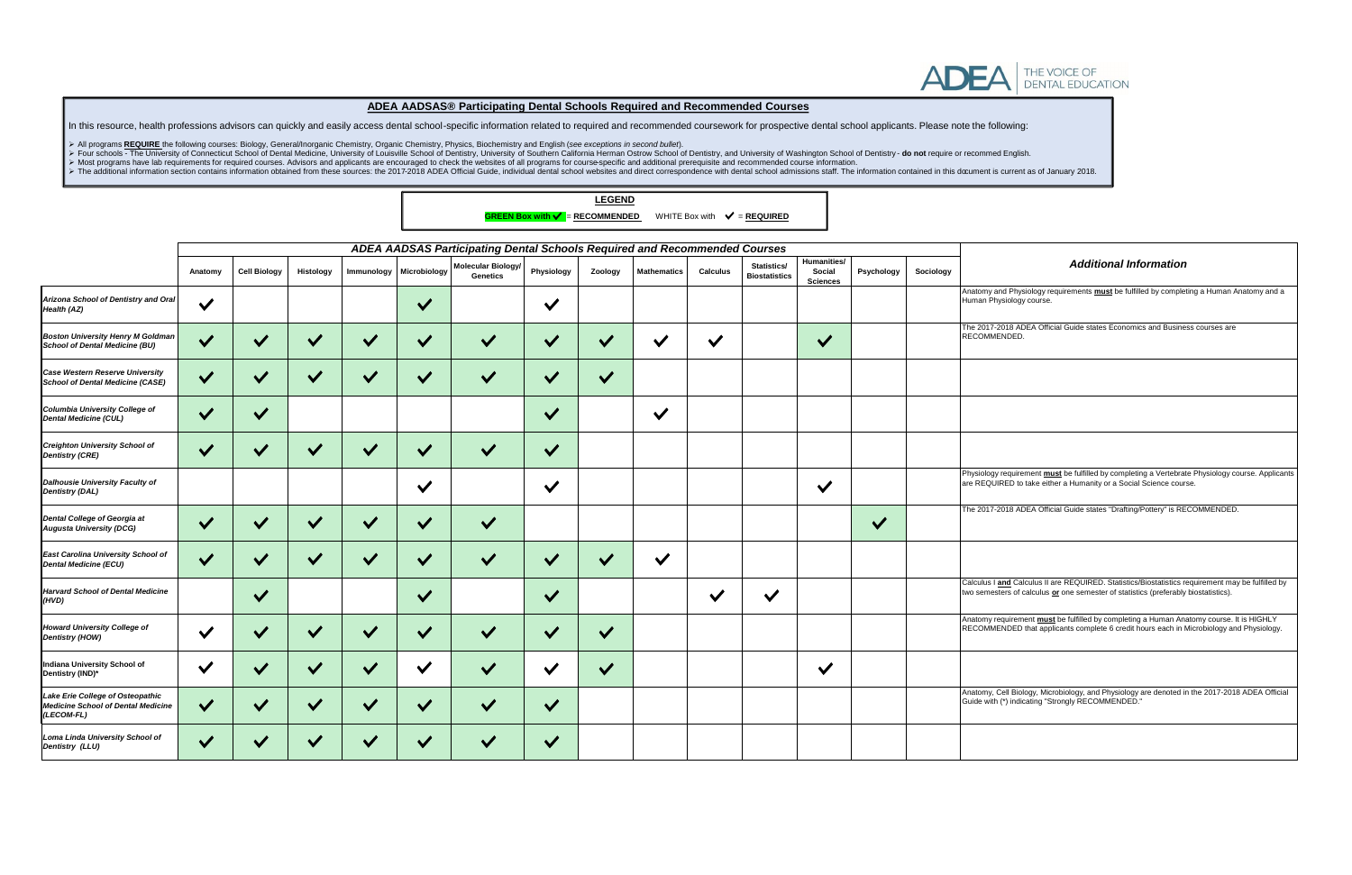## *Additional Information*

**hy and Physiology requirements <b>must** be fulfilled by completing a Human Anatomy and a .<br>Physiology course.

17-2018 ADEA Official Guide states Economics and Business courses are **MENDED.** 

Physiology requirement **must** be fulfilled by completing a Vertebrate Physiology course. Applicants are REQUIRED to take either a Humanity or a Social Science course.

17-2018 ADEA Official Guide states "Drafting/Pottery" is RECOMMENDED.

Is I and Calculus II are REQUIRED. Statistics/Biostatistics requirement may be fulfilled by nesters of calculus **or** one semester of statistics (preferably biostatistics).

hy requirement **must** be fulfilled by completing a Human Anatomy course. It is HIGHLY AMENDED that applicants complete 6 credit hours each in Microbiology and Physiology.

➢ Most programs have lab requirements for required courses. Advisors and applicants are encouraged to check the websites of all programs for course-specific and additional prerequisite and recommended course information. > The additional information section contains information obtained from these sources: the 2017-2018 ADEA Official Guide, individual dental school websites and direct correspondence with dental school admissions staff. The

|                                                                                             |                                                                           |                     |              |              |              |                                       |              | <b>LEGEND</b> | <b>GREEN Box with <math>\checkmark</math> = RECOMMENDED</b> WHITE Box with $\checkmark$ = <b>REQUIRED</b> |                 |                                     |                                          |              |           |                                |
|---------------------------------------------------------------------------------------------|---------------------------------------------------------------------------|---------------------|--------------|--------------|--------------|---------------------------------------|--------------|---------------|-----------------------------------------------------------------------------------------------------------|-----------------|-------------------------------------|------------------------------------------|--------------|-----------|--------------------------------|
|                                                                                             | ADEA AADSAS Participating Dental Schools Required and Recommended Courses |                     |              |              |              |                                       |              |               |                                                                                                           |                 |                                     |                                          |              |           |                                |
|                                                                                             | Anatomy                                                                   | <b>Cell Biology</b> | Histology    | Immunology   | Microbiology | Molecular Biology/<br><b>Genetics</b> | Physiology   | Zoology       | <b>Mathematics</b>                                                                                        | <b>Calculus</b> | Statistics/<br><b>Biostatistics</b> | Humanities/<br>Social<br><b>Sciences</b> | Psychology   | Sociology |                                |
| Arizona School of Dentistry and Oral<br>Health (AZ)                                         | $\checkmark$                                                              |                     |              |              | $\checkmark$ |                                       | $\checkmark$ |               |                                                                                                           |                 |                                     |                                          |              |           | Anatom<br>Human                |
| <b>Boston University Henry M Goldman</b><br><b>School of Dental Medicine (BU)</b>           | $\checkmark$                                                              | $\checkmark$        | $\checkmark$ | $\checkmark$ | $\checkmark$ | $\checkmark$                          | $\checkmark$ | $\vee$        | $\checkmark$                                                                                              | $\checkmark$    |                                     | $\checkmark$                             |              |           | <b>The 201</b><br><b>RECOM</b> |
| Case Western Reserve University<br>School of Dental Medicine (CASE)                         | $\checkmark$                                                              | $\checkmark$        | $\checkmark$ | $\checkmark$ | $\checkmark$ | $\checkmark$                          | $\checkmark$ | $\checkmark$  |                                                                                                           |                 |                                     |                                          |              |           |                                |
| Columbia University College of<br><b>Dental Medicine (CUL)</b>                              | $\checkmark$                                                              | $\checkmark$        |              |              |              |                                       | $\checkmark$ |               | $\checkmark$                                                                                              |                 |                                     |                                          |              |           |                                |
| <b>Creighton University School of</b><br><b>Dentistry (CRE)</b>                             | $\checkmark$                                                              |                     |              | $\checkmark$ | $\checkmark$ |                                       | $\checkmark$ |               |                                                                                                           |                 |                                     |                                          |              |           |                                |
| Dalhousie University Faculty of<br><b>Dentistry (DAL)</b>                                   |                                                                           |                     |              |              | $\checkmark$ |                                       | $\checkmark$ |               |                                                                                                           |                 |                                     | $\checkmark$                             |              |           | Physiolo<br>are REO            |
| Dental College of Georgia at<br><b>Augusta University (DCG)</b>                             | $\checkmark$                                                              | $\checkmark$        | $\checkmark$ | $\checkmark$ | $\checkmark$ | $\checkmark$                          |              |               |                                                                                                           |                 |                                     |                                          | $\checkmark$ |           | <b>The 201</b>                 |
| East Carolina University School of<br><b>Dental Medicine (ECU)</b>                          | $\checkmark$                                                              | $\checkmark$        | $\checkmark$ | $\checkmark$ | $\checkmark$ | $\checkmark$                          | $\checkmark$ | $\vee$        | $\checkmark$                                                                                              |                 |                                     |                                          |              |           |                                |
| <b>Harvard School of Dental Medicine</b><br>(HVD)                                           |                                                                           | $\checkmark$        |              |              | $\checkmark$ |                                       | $\checkmark$ |               |                                                                                                           | $\checkmark$    | $\checkmark$                        |                                          |              |           | Calculu:<br>two sem            |
| <b>Howard University College of</b><br>Dentistry (HOW)                                      | $\checkmark$                                                              | $\checkmark$        | $\checkmark$ | $\checkmark$ | $\checkmark$ | $\checkmark$                          | $\checkmark$ | $\checkmark$  |                                                                                                           |                 |                                     |                                          |              |           | Anatom<br><b>RECOM</b>         |
| <b>Indiana University School of</b><br>Dentistry (IND)*                                     | $\checkmark$                                                              | $\checkmark$        | $\vee$       | $\checkmark$ | $\checkmark$ | $\checkmark$                          | $\checkmark$ | $\checkmark$  |                                                                                                           |                 |                                     | $\checkmark$                             |              |           |                                |
| Lake Erie College of Osteopathic<br><b>Medicine School of Dental Medicine</b><br>(LECOM-FL) | $\checkmark$                                                              | $\checkmark$        | $\checkmark$ | $\checkmark$ | $\checkmark$ | $\checkmark$                          | $\checkmark$ |               |                                                                                                           |                 |                                     |                                          |              |           | Anatom<br>Guide w              |
| Loma Linda University School of<br>Dentistry (LLU)                                          | $\checkmark$                                                              |                     |              |              |              |                                       |              |               |                                                                                                           |                 |                                     |                                          |              |           |                                |

Anatomy, Cell Biology, Microbiology, and Physiology are denoted in the 2017-2018 ADEA Official Guide with (\*) indicating "Strongly RECOMMENDED."



## **ADEA AADSAS® Participating Dental Schools Required and Recommended Courses**

In this resource, health professions advisors can quickly and easily access dental school-specific information related to required and recommended coursework for prospective dental school applicants. Please note the follow

➢ All programs **REQUIRE** the following courses: Biology, General/Inorganic Chemistry, Organic Chemistry, Physics, Biochemistry and English (*see exceptions in second bullet*).

> Four schools - The University of Connecticut School of Dental Medicine, University of Louisville School of Dentistry, University of Southern California Herman Ostrow School of Dentistry, and University of Washington Scho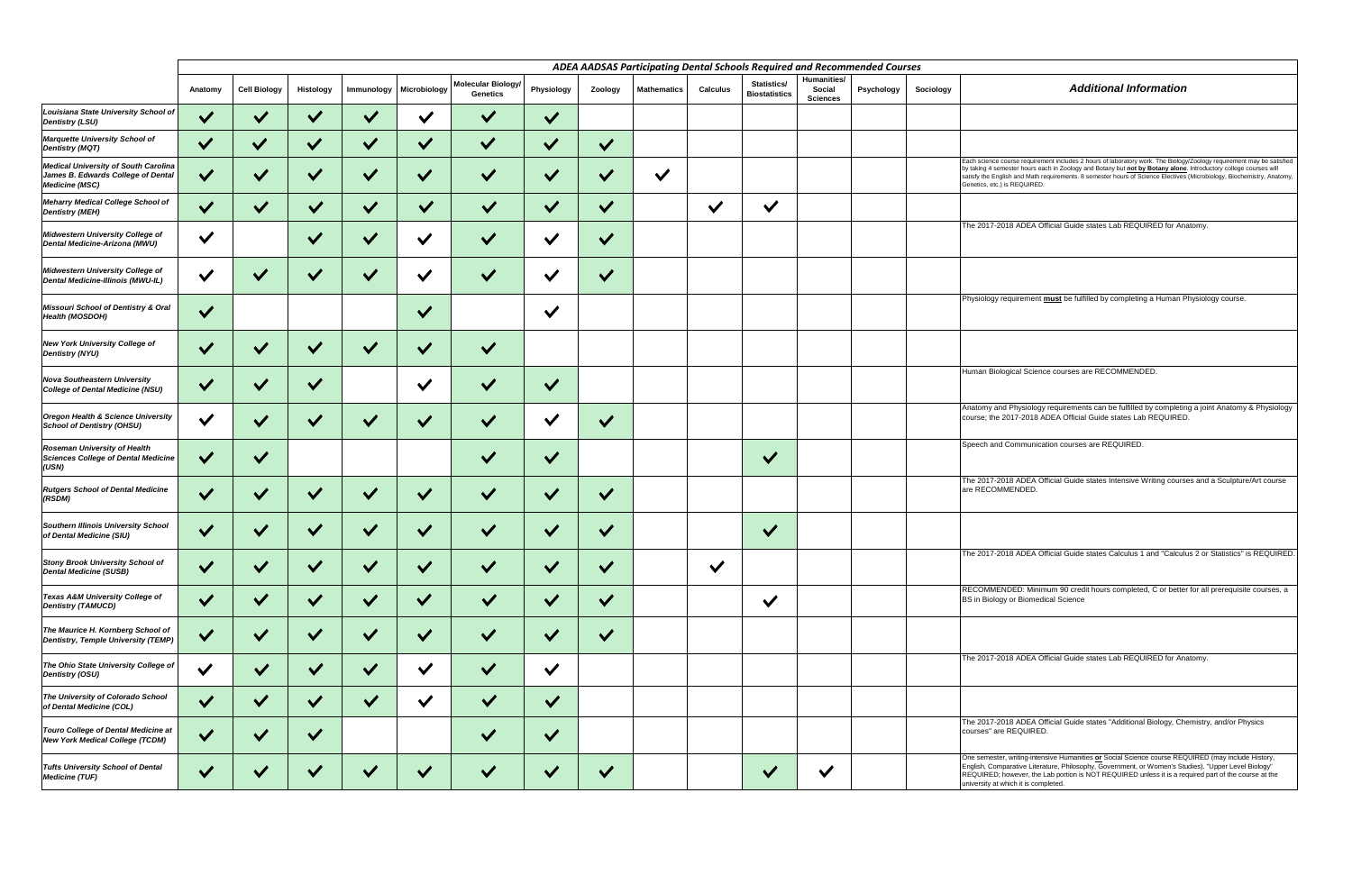|                                                                                                            |              |                     |                      |              |              |                                              |                      |              | ADEA AADSAS Participating Dental Schools Required and Recommended Courses |                 |                                     |                                          |            |           |                                                                  |
|------------------------------------------------------------------------------------------------------------|--------------|---------------------|----------------------|--------------|--------------|----------------------------------------------|----------------------|--------------|---------------------------------------------------------------------------|-----------------|-------------------------------------|------------------------------------------|------------|-----------|------------------------------------------------------------------|
|                                                                                                            | Anatomy      | <b>Cell Biology</b> | Histology            | Immunology   | Microbiology | <b>Molecular Biology/</b><br><b>Genetics</b> | Physiology           | Zoology      | <b>Mathematics</b>                                                        | <b>Calculus</b> | Statistics/<br><b>Biostatistics</b> | Humanities/<br>Social<br><b>Sciences</b> | Psychology | Sociology |                                                                  |
| Louisiana State University School of<br><b>Dentistry (LSU)</b>                                             | $\checkmark$ | $\checkmark$        | $\checkmark$         | $\checkmark$ | $\checkmark$ | $\checkmark$                                 | $\checkmark$         |              |                                                                           |                 |                                     |                                          |            |           |                                                                  |
| Marquette University School of<br><b>Dentistry (MQT)</b>                                                   | $\checkmark$ | $\checkmark$        | $\checkmark$         | $\checkmark$ | $\checkmark$ | $\checkmark$                                 | $\checkmark$         | $\checkmark$ |                                                                           |                 |                                     |                                          |            |           |                                                                  |
| <b>Medical University of South Carolina</b><br>James B. Edwards College of Dental<br><b>Medicine (MSC)</b> | V            | $\checkmark$        | $\checkmark$         | $\checkmark$ | $\checkmark$ | $\checkmark$                                 | $\checkmark$         | $\checkmark$ | $\checkmark$                                                              |                 |                                     |                                          |            |           | Each scien<br>by taking 4<br>satisfy the <b>I</b><br>Genetics, e |
| Meharry Medical College School of<br><b>Dentistry (MEH)</b>                                                | $\checkmark$ | $\checkmark$        | $\checkmark$         | $\checkmark$ | $\checkmark$ | $\checkmark$                                 | $\checkmark$         | $\checkmark$ |                                                                           | $\checkmark$    | $\checkmark$                        |                                          |            |           |                                                                  |
| Midwestern University College of<br>Dental Medicine-Arizona (MWU)                                          | $\checkmark$ |                     | $\checkmark$         | $\checkmark$ | $\checkmark$ | $\checkmark$                                 | $\checkmark$         | $\checkmark$ |                                                                           |                 |                                     |                                          |            |           | The 2017                                                         |
| Midwestern University College of<br>Dental Medicine-Illinois (MWU-IL)                                      | $\checkmark$ | $\checkmark$        | $\checkmark$         | $\checkmark$ | $\checkmark$ | $\checkmark$                                 | $\checkmark$         | $\checkmark$ |                                                                           |                 |                                     |                                          |            |           |                                                                  |
| Missouri School of Dentistry & Oral<br><b>Health (MOSDOH)</b>                                              | $\checkmark$ |                     |                      |              | $\checkmark$ |                                              | $\checkmark$         |              |                                                                           |                 |                                     |                                          |            |           | Physiolog                                                        |
| <b>New York University College of</b><br><b>Dentistry (NYU)</b>                                            | $\vee$       |                     |                      | $\checkmark$ | $\checkmark$ |                                              |                      |              |                                                                           |                 |                                     |                                          |            |           |                                                                  |
| <b>Nova Southeastern University</b><br>College of Dental Medicine (NSU)                                    | $\checkmark$ | $\checkmark$        | $\checkmark$         |              | $\checkmark$ | $\checkmark$                                 | $\checkmark$         |              |                                                                           |                 |                                     |                                          |            |           | Human B                                                          |
| Oregon Health & Science University<br><b>School of Dentistry (OHSU)</b>                                    | $\vee$       | $\checkmark$        | $\checkmark$         | $\checkmark$ | $\checkmark$ | $\checkmark$                                 | $\checkmark$         | $\checkmark$ |                                                                           |                 |                                     |                                          |            |           | Anatomy<br>course; th                                            |
| <b>Roseman University of Health</b><br>Sciences College of Dental Medicine<br>(USN)                        | $\vee$       | $\checkmark$        |                      |              |              | $\checkmark$                                 | $\checkmark$         |              |                                                                           |                 | $\checkmark$                        |                                          |            |           | Speech a                                                         |
| <b>Rutgers School of Dental Medicine</b><br>(RSDM)                                                         | $\vee$       |                     |                      | $\checkmark$ | $\checkmark$ |                                              | $\checkmark$         | $\checkmark$ |                                                                           |                 |                                     |                                          |            |           | The 2017<br>are RECO                                             |
| Southern Illinois University School<br>of Dental Medicine (SIU)                                            |              |                     |                      |              |              |                                              |                      |              |                                                                           |                 | $\checkmark$                        |                                          |            |           |                                                                  |
| <b>Stony Brook University School of</b><br><b>Dental Medicine (SUSB)</b>                                   | $\checkmark$ | $\checkmark$        | $\checkmark$         | $\checkmark$ | $\checkmark$ |                                              | $\checkmark$         | $\checkmark$ |                                                                           | $\checkmark$    |                                     |                                          |            |           | The 2017                                                         |
| <b>Texas A&amp;M University College of</b><br><b>Dentistry (TAMUCD)</b>                                    | $\checkmark$ | $\checkmark$        | $\checkmark$         | $\checkmark$ | $\checkmark$ | $\checkmark$                                 | $\checkmark$         | $\checkmark$ |                                                                           |                 | $\checkmark$                        |                                          |            |           | <b>RECOMN</b><br><b>BS</b> in Bio                                |
| The Maurice H. Kornberg School of<br>Dentistry, Temple University (TEMP)                                   | $\checkmark$ | $\checkmark$        | $\checkmark$         | $\checkmark$ | $\checkmark$ | $\checkmark$                                 | $\checkmark$         | $\checkmark$ |                                                                           |                 |                                     |                                          |            |           |                                                                  |
| The Ohio State University College of<br>Dentistry (OSU)                                                    | $\checkmark$ | $\checkmark$        | $\blacktriangledown$ | $\checkmark$ | $\checkmark$ | $\checkmark$                                 | $\checkmark$         |              |                                                                           |                 |                                     |                                          |            |           | The 2017                                                         |
| The University of Colorado School<br>of Dental Medicine (COL)                                              | $\checkmark$ | $\checkmark$        | $\checkmark$         | $\checkmark$ | $\checkmark$ | $\checkmark$                                 | $\checkmark$         |              |                                                                           |                 |                                     |                                          |            |           |                                                                  |
| Touro College of Dental Medicine at<br><b>New York Medical College (TCDM)</b>                              | $\checkmark$ | $\checkmark$        | $\checkmark$         |              |              | $\checkmark$                                 | $\checkmark$         |              |                                                                           |                 |                                     |                                          |            |           | The 2017<br>courses"                                             |
| <b>Tufts University School of Dental</b><br><b>Medicine (TUF)</b>                                          | $\checkmark$ | $\checkmark$        | $\checkmark$         | $\checkmark$ | $\checkmark$ | $\checkmark$                                 | $\blacktriangledown$ | $\checkmark$ |                                                                           |                 | $\checkmark$                        | $\checkmark$                             |            |           | One seme<br>English, C<br>REQUIRE<br>university                  |

| <b>Additional Information</b>                                                                                                                                                                                                                                                                                                                                                                       |
|-----------------------------------------------------------------------------------------------------------------------------------------------------------------------------------------------------------------------------------------------------------------------------------------------------------------------------------------------------------------------------------------------------|
|                                                                                                                                                                                                                                                                                                                                                                                                     |
|                                                                                                                                                                                                                                                                                                                                                                                                     |
| Each science course requirement includes 2 hours of laboratory work. The Biology/Zoology requirement may be satisfied<br>by taking 4 semester hours each in Zoology and Botany but not by Botany alone. Introductory college courses will<br>satisfy the English and Math requirements. 8 semester hours of Science Electives (Microbiology, Biochemistry, Anatomy,<br>Genetics, etc.) is REQUIRED. |
| The 2017-2018 ADEA Official Guide states Lab REQUIRED for Anatomy.                                                                                                                                                                                                                                                                                                                                  |
|                                                                                                                                                                                                                                                                                                                                                                                                     |
|                                                                                                                                                                                                                                                                                                                                                                                                     |
| Physiology requirement must be fulfilled by completing a Human Physiology course.                                                                                                                                                                                                                                                                                                                   |
|                                                                                                                                                                                                                                                                                                                                                                                                     |
| Human Biological Science courses are RECOMMENDED.                                                                                                                                                                                                                                                                                                                                                   |
| Anatomy and Physiology requirements can be fulfilled by completing a joint Anatomy & Physiology<br>course; the 2017-2018 ADEA Official Guide states Lab REQUIRED.                                                                                                                                                                                                                                   |
| Speech and Communication courses are REQUIRED.                                                                                                                                                                                                                                                                                                                                                      |
| The 2017-2018 ADEA Official Guide states Intensive Writing courses and a Sculpture/Art course<br>are RECOMMENDED.                                                                                                                                                                                                                                                                                   |
|                                                                                                                                                                                                                                                                                                                                                                                                     |
| The 2017-2018 ADEA Official Guide states Calculus 1 and "Calculus 2 or Statistics" is REQUIRED.                                                                                                                                                                                                                                                                                                     |
| RECOMMENDED: Minimum 90 credit hours completed, C or better for all prerequisite courses, a<br>BS in Biology or Biomedical Science                                                                                                                                                                                                                                                                  |
|                                                                                                                                                                                                                                                                                                                                                                                                     |
| The 2017-2018 ADEA Official Guide states Lab REQUIRED for Anatomy.                                                                                                                                                                                                                                                                                                                                  |
|                                                                                                                                                                                                                                                                                                                                                                                                     |
| The 2017-2018 ADEA Official Guide states "Additional Biology, Chemistry, and/or Physics<br>courses" are REQUIRED.                                                                                                                                                                                                                                                                                   |

One semester, writing-intensive Humanities <u>or</u> Social Science course REQUIRED (may include History,<br>English, Comparative Literature, Philosophy, Government, or Women's Studies). "Upper Level Biology"<br>REQUIRED; however, th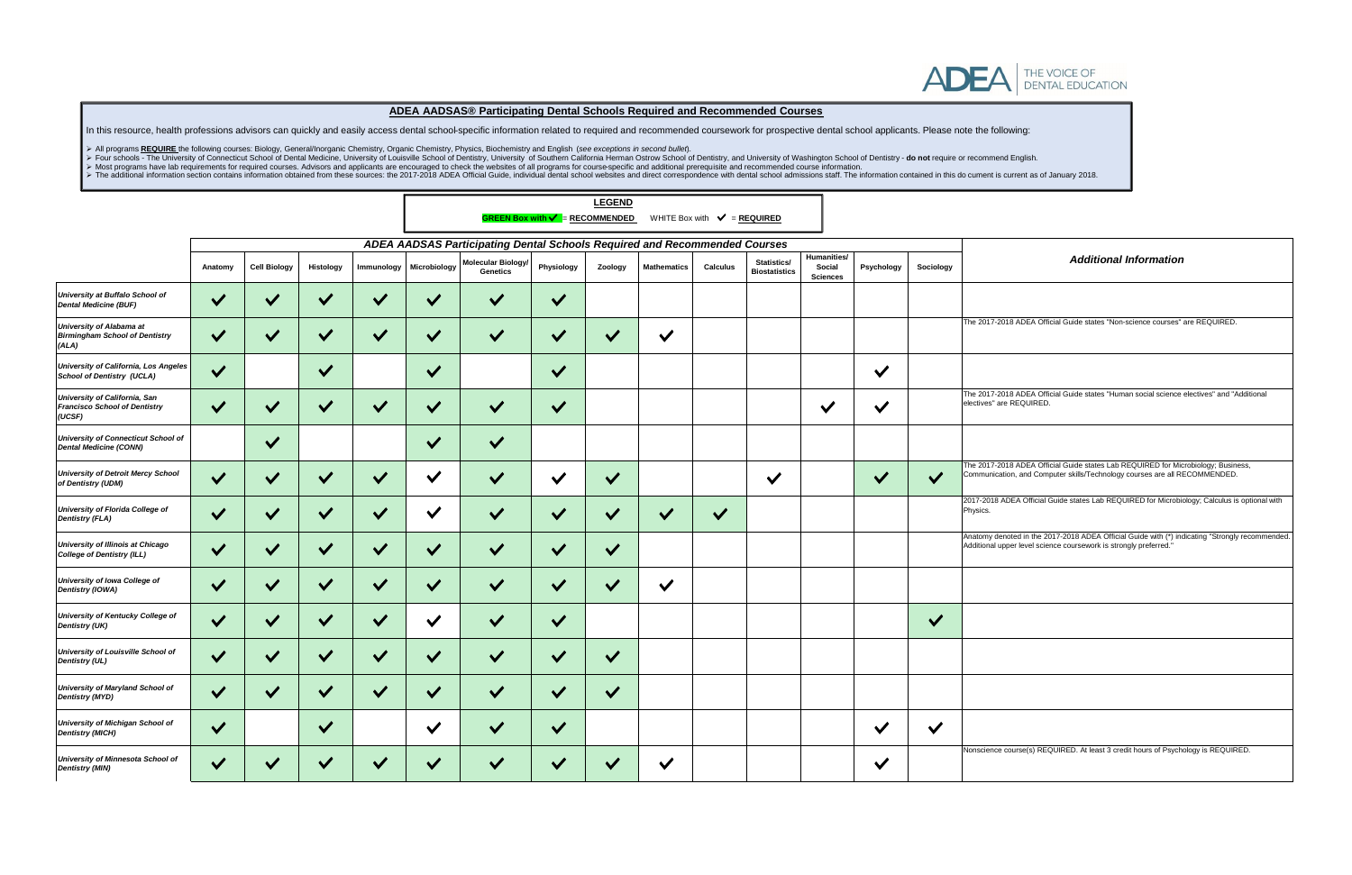

┓

# *Additional Information*

7-2018 ADEA Official Guide states "Non-science courses" are REQUIRED.

7-2018 ADEA Official Guide states "Human social science electives" and "Additional s" are REQUIRED.

The 2017-2018 ADEA Official Guide states Lab REQUIRED for Microbiology; Business, Communication, and Computer skills/Technology courses are all RECOMMENDED.

118 ADEA Official Guide states Lab REQUIRED for Microbiology; Calculus is optional with

y denoted in the 2017-2018 ADEA Official Guide with (\*) indicating "Strongly recommended. Additional upper level science coursework is strongly preferred."

nce course(s) REQUIRED. At least 3 credit hours of Psychology is REQUIRED.

|                                                                                   |              |                     |                      |              |                                                                           |                                | <b>GREEN Box with <math>\checkmark</math> = RECOMMENDED</b> | <b>LEGEND</b> |                    | WHITE Box with $\sqrt{\ }$ = REQUIRED |                                     |                                          |              |              |                             |
|-----------------------------------------------------------------------------------|--------------|---------------------|----------------------|--------------|---------------------------------------------------------------------------|--------------------------------|-------------------------------------------------------------|---------------|--------------------|---------------------------------------|-------------------------------------|------------------------------------------|--------------|--------------|-----------------------------|
|                                                                                   |              |                     |                      |              | ADEA AADSAS Participating Dental Schools Required and Recommended Courses |                                |                                                             |               |                    |                                       |                                     |                                          |              |              |                             |
|                                                                                   | Anatomy      | <b>Cell Biology</b> | Histology            | Immunology   | Microbiology                                                              | Molecular Biology/<br>Genetics | Physiology                                                  | Zoology       | <b>Mathematics</b> | <b>Calculus</b>                       | Statistics/<br><b>Biostatistics</b> | Humanities/<br>Social<br><b>Sciences</b> | Psychology   | Sociology    |                             |
| University at Buffalo School of<br><b>Dental Medicine (BUF)</b>                   | $\checkmark$ | $\checkmark$        | $\checkmark$         | $\checkmark$ | $\checkmark$                                                              | $\checkmark$                   | $\checkmark$                                                |               |                    |                                       |                                     |                                          |              |              |                             |
| <b>University of Alabama at</b><br><b>Birmingham School of Dentistry</b><br>(ALA) | $\checkmark$ | $\checkmark$        | $\checkmark$         | $\checkmark$ | $\checkmark$                                                              | $\checkmark$                   | $\checkmark$                                                | $\checkmark$  | $\checkmark$       |                                       |                                     |                                          |              |              | <b>The 201</b>              |
| University of California, Los Angeles<br><b>School of Dentistry (UCLA)</b>        | $\checkmark$ |                     | $\checkmark$         |              | $\checkmark$                                                              |                                | $\checkmark$                                                |               |                    |                                       |                                     |                                          | $\checkmark$ |              |                             |
| University of California, San<br><b>Francisco School of Dentistry</b><br>(UCSF)   | $\checkmark$ | $\checkmark$        | $\checkmark$         | $\checkmark$ | $\checkmark$                                                              | $\checkmark$                   | $\checkmark$                                                |               |                    |                                       |                                     | $\checkmark$                             | $\checkmark$ |              | <b>The 201</b><br>electives |
| University of Connecticut School of<br><b>Dental Medicine (CONN)</b>              |              | $\checkmark$        |                      |              | $\checkmark$                                                              | $\checkmark$                   |                                                             |               |                    |                                       |                                     |                                          |              |              |                             |
| <b>University of Detroit Mercy School</b><br>of Dentistry (UDM)                   | $\checkmark$ | $\checkmark$        | $\checkmark$         | $\checkmark$ | $\checkmark$                                                              | $\checkmark$                   | $\checkmark$                                                | $\checkmark$  |                    |                                       | $\checkmark$                        |                                          | $\checkmark$ | $\checkmark$ | <b>The 201</b><br>Commur    |
| University of Florida College of<br><b>Dentistry (FLA)</b>                        | $\checkmark$ | $\checkmark$        | $\checkmark$         | $\checkmark$ | $\checkmark$                                                              | $\checkmark$                   | $\checkmark$                                                | $\checkmark$  | $\checkmark$       | $\checkmark$                          |                                     |                                          |              |              | 2017-20<br>Physics.         |
| University of Illinois at Chicago<br><b>College of Dentistry (ILL)</b>            | $\checkmark$ | $\checkmark$        | $\checkmark$         | $\checkmark$ | $\checkmark$                                                              | $\checkmark$                   | $\checkmark$                                                | $\checkmark$  |                    |                                       |                                     |                                          |              |              | Anatomy<br>Addition         |
| University of Iowa College of<br>Dentistry (IOWA)                                 | $\vee$       | $\checkmark$        | $\checkmark$         | $\checkmark$ | $\checkmark$                                                              | $\checkmark$                   | $\checkmark$                                                | $\checkmark$  | $\checkmark$       |                                       |                                     |                                          |              |              |                             |
| University of Kentucky College of<br><b>Dentistry (UK)</b>                        | $\checkmark$ | $\checkmark$        | $\checkmark$         | $\checkmark$ | $\checkmark$                                                              | $\checkmark$                   | $\checkmark$                                                |               |                    |                                       |                                     |                                          |              | $\checkmark$ |                             |
| University of Louisville School of<br>Dentistry (UL)                              |              |                     | $\checkmark$         |              |                                                                           |                                |                                                             | $\checkmark$  |                    |                                       |                                     |                                          |              |              |                             |
| <b>University of Maryland School of</b><br><b>Dentistry (MYD)</b>                 | $\sqrt{}$    | $\vee$              | $\blacktriangledown$ | $\checkmark$ | $\vee$                                                                    | $\blacktriangledown$           | $\vee$                                                      | $\vee$        |                    |                                       |                                     |                                          |              |              |                             |
| <b>University of Michigan School of</b><br><b>Dentistry (MICH)</b>                | $\checkmark$ |                     | $\checkmark$         |              | $\checkmark$                                                              | $\checkmark$                   | $\checkmark$                                                |               |                    |                                       |                                     |                                          | $\checkmark$ | $\checkmark$ |                             |
| University of Minnesota School of<br><b>Dentistry (MIN)</b>                       | $\checkmark$ | $\checkmark$        | $\checkmark$         | $\checkmark$ | $\checkmark$                                                              | $\checkmark$                   | $\blacktriangledown$                                        | $\checkmark$  | $\checkmark$       |                                       |                                     |                                          | $\checkmark$ |              | Nonscie                     |



### **ADEA AADSAS® Participating Dental Schools Required and Recommended Courses**

In this resource, health professions advisors can quickly and easily access dental school-specific information related to required and recommended coursework for prospective dental school applicants. Please note the follow

➢ All programs **REQUIRE** the following courses: Biology, General/Inorganic Chemistry, Organic Chemistry, Physics, Biochemistry and English (*see exceptions in second bullet*).

> Four schools - The University of Connecticut School of Dental Medicine, University of Louisville School of Dentistry, University of Southern California Herman Ostrow School of Dentistry, and University of Washington Scho

➢ Most programs have lab requirements for required courses. Advisors and applicants are encouraged to check the websites of all programs for course-specific and additional prerequisite and recommended course information.

> The additional information section contains information obtained from these sources: the 2017-2018 ADEA Official Guide, individual dental school websites and direct correspondence with dental school admissions staff. The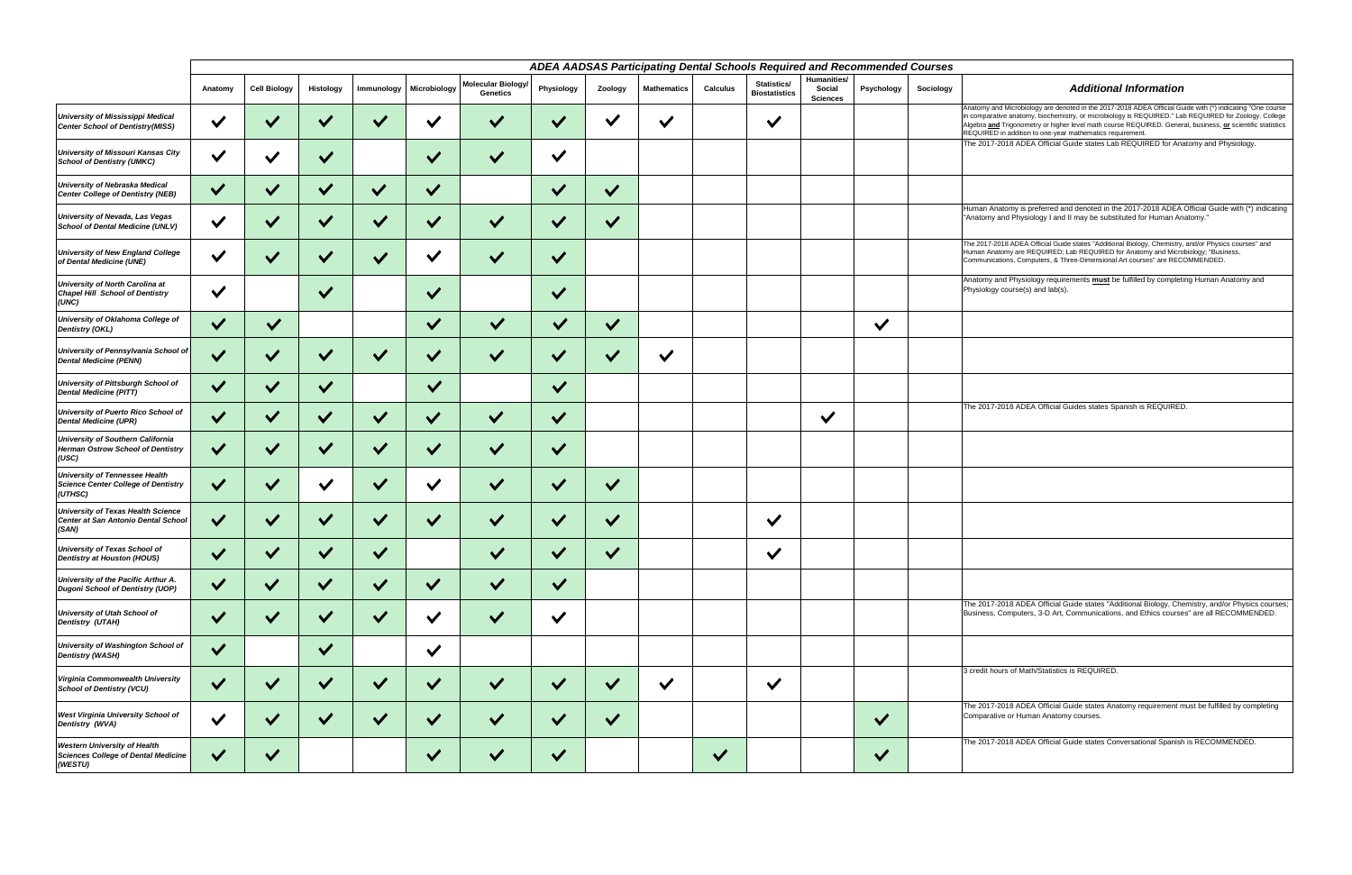|                                                                                              | ADEA AADSAS Participating Dental Schools Required and Recommended Courses |                     |              |              |              |                                              |                            |                       |                    |                 |                                     |                                          |              |           |                                                    |
|----------------------------------------------------------------------------------------------|---------------------------------------------------------------------------|---------------------|--------------|--------------|--------------|----------------------------------------------|----------------------------|-----------------------|--------------------|-----------------|-------------------------------------|------------------------------------------|--------------|-----------|----------------------------------------------------|
|                                                                                              | Anatomy                                                                   | <b>Cell Biology</b> | Histology    | Immunology   | Microbiology | <b>Molecular Biology/</b><br><b>Genetics</b> | Physiology                 | Zoology               | <b>Mathematics</b> | <b>Calculus</b> | Statistics/<br><b>Biostatistics</b> | Humanities/<br>Social<br><b>Sciences</b> | Psychology   | Sociology |                                                    |
| <b>University of Mississippi Medical</b><br><b>Center School of Dentistry(MISS)</b>          | $\checkmark$                                                              | $\checkmark$        | $\checkmark$ | $\checkmark$ |              | $\checkmark$                                 |                            | $\checkmark$          | $\checkmark$       |                 | $\checkmark$                        |                                          |              |           | Anatomy<br>in compa<br>Algebra a<br><b>REQUIRI</b> |
| <b>University of Missouri Kansas City</b><br><b>School of Dentistry (UMKC)</b>               | $\checkmark$                                                              | $\checkmark$        | $\checkmark$ |              | $\checkmark$ | $\checkmark$                                 | $\checkmark$               |                       |                    |                 |                                     |                                          |              |           | <b>The 201</b>                                     |
| <b>University of Nebraska Medical</b><br>Center College of Dentistry (NEB)                   | $\checkmark$                                                              | $\checkmark$        | $\checkmark$ | $\checkmark$ | $\checkmark$ |                                              | $\checkmark$               | $\checkmark$          |                    |                 |                                     |                                          |              |           |                                                    |
| <b>University of Nevada, Las Vegas</b><br><b>School of Dental Medicine (UNLV)</b>            | $\checkmark$                                                              | $\checkmark$        | $\checkmark$ | $\checkmark$ | $\checkmark$ | $\checkmark$                                 | $\checkmark$               | $\checkmark$          |                    |                 |                                     |                                          |              |           | Human<br>"Anatom                                   |
| <b>University of New England College</b><br>of Dental Medicine (UNE)                         | $\checkmark$                                                              |                     | $\checkmark$ | $\checkmark$ | $\checkmark$ |                                              | $\checkmark$               |                       |                    |                 |                                     |                                          |              |           | The 2017<br>Human A<br>Commun                      |
| University of North Carolina at<br><b>Chapel Hill School of Dentistry</b><br>(UNC)           | $\checkmark$                                                              |                     | $\checkmark$ |              | $\checkmark$ |                                              | $\checkmark$               |                       |                    |                 |                                     |                                          |              |           | Anatomy<br>Physiolo                                |
| University of Oklahoma College of<br>Dentistry (OKL)                                         | $\checkmark$                                                              | $\checkmark$        |              |              | $\checkmark$ | $\checkmark$                                 | $\checkmark$               | $\checkmark$          |                    |                 |                                     |                                          | $\checkmark$ |           |                                                    |
| University of Pennsylvania School of<br><b>Dental Medicine (PENN)</b>                        | $\checkmark$                                                              | $\checkmark$        | $\checkmark$ | $\checkmark$ | $\vee$       | $\checkmark$                                 | $\checkmark$               | $\vee$                | $\checkmark$       |                 |                                     |                                          |              |           |                                                    |
| <b>University of Pittsburgh School of</b><br><b>Dental Medicine (PITT)</b>                   | $\checkmark$                                                              | $\checkmark$        | $\checkmark$ |              | $\checkmark$ |                                              | $\checkmark$               |                       |                    |                 |                                     |                                          |              |           |                                                    |
| University of Puerto Rico School of<br><b>Dental Medicine (UPR)</b>                          | $\checkmark$                                                              | $\checkmark$        | $\vee$       | $\checkmark$ | $\checkmark$ | $\checkmark$                                 | $\checkmark$               |                       |                    |                 |                                     | $\checkmark$                             |              |           | The 201                                            |
| <b>University of Southern California</b><br>Herman Ostrow School of Dentistry<br>(USC)       | $\vee$                                                                    | $\checkmark$        | $\checkmark$ | $\checkmark$ | $\checkmark$ | $\checkmark$                                 | $\checkmark$               |                       |                    |                 |                                     |                                          |              |           |                                                    |
| <b>University of Tennessee Health</b><br>Science Center College of Dentistry<br>(UTHSC)      | $\checkmark$                                                              | $\checkmark$        | $\checkmark$ | $\checkmark$ | $\vee$       | $\checkmark$                                 | $\checkmark$               | $\checkmark$          |                    |                 |                                     |                                          |              |           |                                                    |
| <b>University of Texas Health Science</b><br>Center at San Antonio Dental School<br>(SAN)    | $\checkmark$                                                              |                     |              | $\checkmark$ |              |                                              |                            | $\checkmark$          |                    |                 | $\checkmark$                        |                                          |              |           |                                                    |
| University of Texas School of<br>Dentistry at Houston (HOUS)                                 | $\checkmark$                                                              | $\cdot$             | $\cdot$      | $\checkmark$ |              | $\checkmark$                                 | $\boldsymbol{\mathcal{L}}$ | $\boldsymbol{\Omega}$ |                    |                 | $\checkmark$                        |                                          |              |           |                                                    |
| University of the Pacific Arthur A.<br><b>Dugoni School of Dentistry (UOP)</b>               | $\checkmark$                                                              | $\checkmark$        | $\checkmark$ | $\checkmark$ | $\checkmark$ | $\checkmark$                                 | $\checkmark$               |                       |                    |                 |                                     |                                          |              |           |                                                    |
| <b>University of Utah School of</b><br><b>Dentistry (UTAH)</b>                               | $\checkmark$                                                              | $\checkmark$        | $\checkmark$ | $\checkmark$ | $\checkmark$ | $\checkmark$                                 | $\checkmark$               |                       |                    |                 |                                     |                                          |              |           | The 201<br><b>Busines:</b>                         |
| University of Washington School of<br><b>Dentistry (WASH)</b>                                | $\checkmark$                                                              |                     | $\checkmark$ |              | $\checkmark$ |                                              |                            |                       |                    |                 |                                     |                                          |              |           |                                                    |
| Virginia Commonwealth University<br><b>School of Dentistry (VCU)</b>                         | $\checkmark$                                                              | $\checkmark$        | $\checkmark$ | $\checkmark$ | $\checkmark$ | $\checkmark$                                 | $\checkmark$               | $\checkmark$          | $\checkmark$       |                 | $\checkmark$                        |                                          |              |           | 3 credit                                           |
| <b>West Virginia University School of</b><br>Dentistry (WVA)                                 | $\checkmark$                                                              | $\checkmark$        | $\checkmark$ | $\checkmark$ | $\checkmark$ | $\checkmark$                                 | $\checkmark$               | $\checkmark$          |                    |                 |                                     |                                          | $\checkmark$ |           | <b>The 201</b><br>Compara                          |
| <b>Western University of Health</b><br><b>Sciences College of Dental Medicine</b><br>(WESTU) | $\checkmark$                                                              | $\checkmark$        |              |              | $\checkmark$ | $\checkmark$                                 | $\blacktriangledown$       |                       |                    | $\checkmark$    |                                     |                                          | $\checkmark$ |           | <b>The 201</b>                                     |

The 2017-2018 ADEA Official Guide states "Additional Biology, Chemistry, and/or Physics courses; Business, Computers, 3-D Art, Communications, and Ethics courses" are all RECOMMENDED.

hours of Math/Statistics is REQUIRED.

7-2018 ADEA Official Guide states Anatomy requirement must be fulfilled by completing ative or Human Anatomy courses.

17-2018 ADEA Official Guide states Conversational Spanish is RECOMMENDED.

Anatomy and Microbiology are denoted in the 2017-2018 ADEA Official Guide with (\*) indicating "One course in comparative anatomy, biochemistry, or microbiology is REQUIRED." Lab REQUIRED for Zoology. College Algebra **and** Trigonometry or higher level math course REQUIRED. General, business, **or** scientific statistics REQUIRED in addition to one-year mathematics requirement.

The 2018 ADEA Official Guide states Lab REQUIRED for Anatomy and Physiology.

Anatomy is preferred and denoted in the 2017-2018 ADEA Official Guide with (\*) indicating ny and Physiology I and II may be substituted for Human Anatomy."

The 2017-2018 ADEA Official Guide states "Additional Biology, Chemistry, and/or Physics courses" and<br>Human Anatomy are REQUIRED; Lab REQUIRED for Anatomy and Microbiology; "Business,<br>Communications, Computers, & Three-Dime

y and Physiology requirements **must** be fulfilled by completing Human Anatomy and  $\frac{1}{2}$  course(s) and lab(s).

7-2018 ADEA Official Guides states Spanish is REQUIRED.

## *Additional Information*